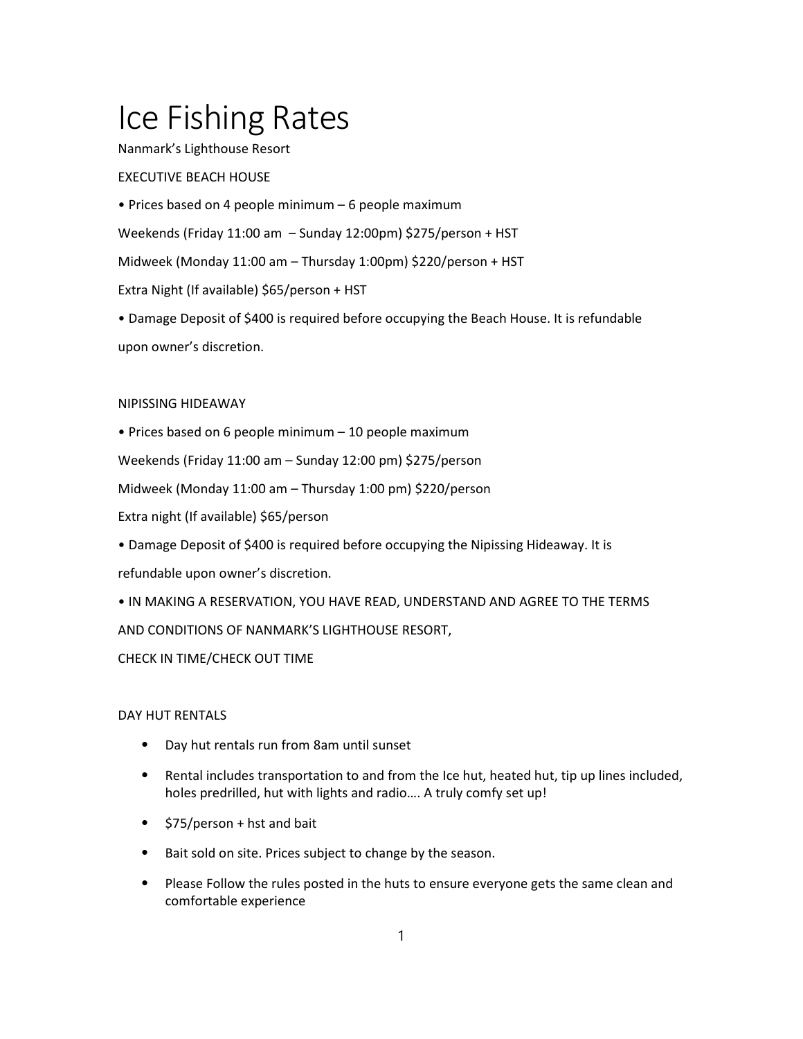# Ice Fishing Rates

Nanmark's Lighthouse Resort

# EXECUTIVE BEACH HOUSE

• Prices based on 4 people minimum – 6 people maximum Weekends (Friday 11:00 am – Sunday 12:00pm) \$275/person + HST Midweek (Monday 11:00 am – Thursday 1:00pm) \$220/person + HST Extra Night (If available) \$65/person + HST • Damage Deposit of \$400 is required before occupying the Beach House. It is refundable

upon owner's discretion.

#### NIPISSING HIDEAWAY

• Prices based on 6 people minimum – 10 people maximum

Weekends (Friday 11:00 am – Sunday 12:00 pm) \$275/person

Midweek (Monday 11:00 am – Thursday 1:00 pm) \$220/person

Extra night (If available) \$65/person

• Damage Deposit of \$400 is required before occupying the Nipissing Hideaway. It is refundable upon owner's discretion.

• IN MAKING A RESERVATION, YOU HAVE READ, UNDERSTAND AND AGREE TO THE TERMS AND CONDITIONS OF NANMARK'S LIGHTHOUSE RESORT,

## CHECK IN TIME/CHECK OUT TIME

## DAY HUT RENTALS

- ⦁ Day hut rentals run from 8am until sunset
- ⦁ Rental includes transportation to and from the Ice hut, heated hut, tip up lines included, holes predrilled, hut with lights and radio…. A truly comfy set up!
- ⦁ \$75/person + hst and bait
- ⦁ Bait sold on site. Prices subject to change by the season.
- ⦁ Please Follow the rules posted in the huts to ensure everyone gets the same clean and comfortable experience